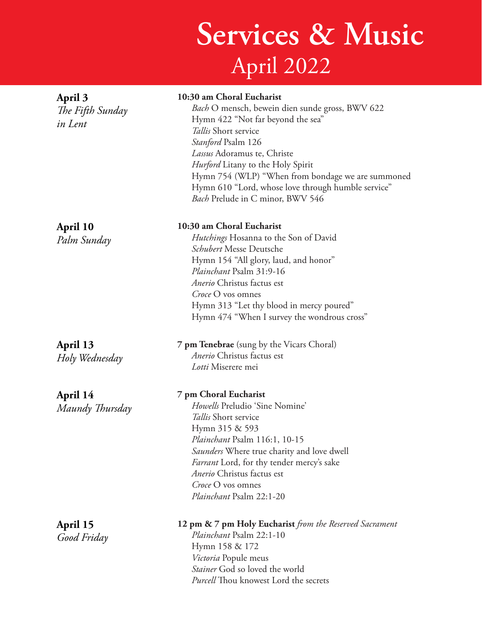## **Services & Music** April 2022

| April 3<br>The Fifth Sunday<br>in Lent | 10:30 am Choral Eucharist<br>Bach O mensch, bewein dien sunde gross, BWV 622<br>Hymn 422 "Not far beyond the sea"<br>Tallis Short service<br>Stanford Psalm 126<br>Lassus Adoramus te, Christe<br><i>Hurford</i> Litany to the Holy Spirit<br>Hymn 754 (WLP) "When from bondage we are summoned<br>Hymn 610 "Lord, whose love through humble service"<br>Bach Prelude in C minor, BWV 546 |
|----------------------------------------|-------------------------------------------------------------------------------------------------------------------------------------------------------------------------------------------------------------------------------------------------------------------------------------------------------------------------------------------------------------------------------------------|
| April 10<br>Palm Sunday                | 10:30 am Choral Eucharist<br><i>Hutchings</i> Hosanna to the Son of David<br>Schubert Messe Deutsche<br>Hymn 154 "All glory, laud, and honor"<br>Plainchant Psalm 31:9-16<br>Anerio Christus factus est<br>Croce O vos omnes<br>Hymn 313 "Let thy blood in mercy poured"<br>Hymn 474 "When I survey the wondrous cross"                                                                   |
| April 13<br>Holy Wednesday             | <b>7 pm Tenebrae</b> (sung by the Vicars Choral)<br>Anerio Christus factus est<br>Lotti Miserere mei                                                                                                                                                                                                                                                                                      |
| April 14<br>Maundy Thursday            | 7 pm Choral Eucharist<br>Howells Preludio 'Sine Nomine'<br>Tallis Short service<br>Hymn 315 & 593<br>Plainchant Psalm 116:1, 10-15<br>Saunders Where true charity and love dwell<br>Farrant Lord, for thy tender mercy's sake<br>Anerio Christus factus est<br>Croce O vos omnes<br>Plainchant Psalm 22:1-20                                                                              |
| April 15<br>Good Friday                | 12 pm & 7 pm Holy Eucharist from the Reserved Sacrament<br>Plainchant Psalm 22:1-10<br>Hymn 158 & 172<br>Victoria Popule meus<br>Stainer God so loved the world<br>Purcell Thou knowest Lord the secrets                                                                                                                                                                                  |